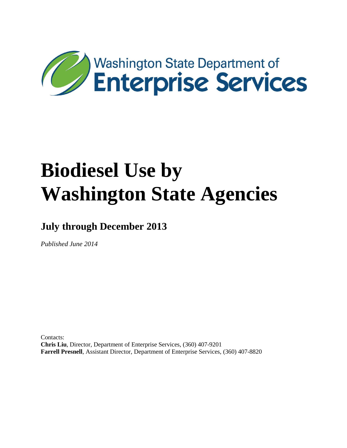

**July through December 2013**

*Published June 2014*

Contacts: **Chris Liu**, Director, Department of Enterprise Services, (360) 407-9201 **Farrell Presnell**, Assistant Director, Department of Enterprise Services, (360) 407-8820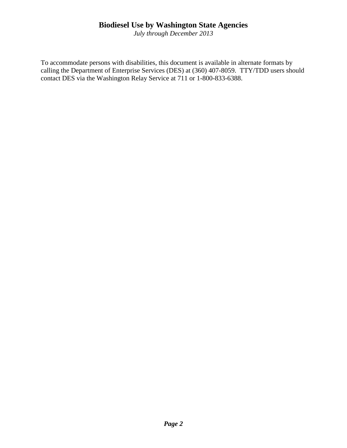*July through December 2013*

To accommodate persons with disabilities, this document is available in alternate formats by calling the Department of Enterprise Services (DES) at (360) 407-8059. TTY/TDD users should contact DES via the Washington Relay Service at 711 or 1-800-833-6388.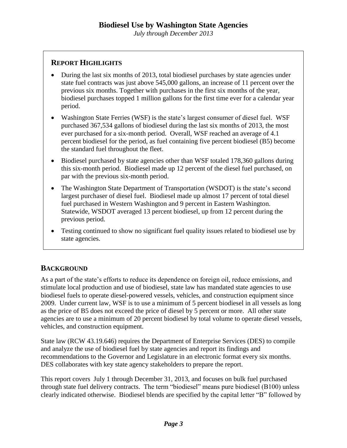*July through December 2013*

#### **REPORT HIGHLIGHTS**

- During the last six months of 2013, total biodiesel purchases by state agencies under state fuel contracts was just above 545,000 gallons, an increase of 11 percent over the previous six months. Together with purchases in the first six months of the year, biodiesel purchases topped 1 million gallons for the first time ever for a calendar year period.
- Washington State Ferries (WSF) is the state's largest consumer of diesel fuel. WSF purchased 367,534 gallons of biodiesel during the last six months of 2013, the most ever purchased for a six-month period. Overall, WSF reached an average of 4.1 percent biodiesel for the period, as fuel containing five percent biodiesel (B5) become the standard fuel throughout the fleet.
- Biodiesel purchased by state agencies other than WSF totaled 178,360 gallons during this six-month period. Biodiesel made up 12 percent of the diesel fuel purchased, on par with the previous six-month period.
- The Washington State Department of Transportation (WSDOT) is the state's second largest purchaser of diesel fuel. Biodiesel made up almost 17 percent of total diesel fuel purchased in Western Washington and 9 percent in Eastern Washington. Statewide, WSDOT averaged 13 percent biodiesel, up from 12 percent during the previous period.
- Testing continued to show no significant fuel quality issues related to biodiesel use by state agencies.

## **BACKGROUND**

As a part of the state's efforts to reduce its dependence on foreign oil, reduce emissions, and stimulate local production and use of biodiesel, state law has mandated state agencies to use biodiesel fuels to operate diesel-powered vessels, vehicles, and construction equipment since 2009. Under current law, WSF is to use a minimum of 5 percent biodiesel in all vessels as long as the price of B5 does not exceed the price of diesel by 5 percent or more. All other state agencies are to use a minimum of 20 percent biodiesel by total volume to operate diesel vessels, vehicles, and construction equipment.

State law (RCW 43.19.646) requires the Department of Enterprise Services (DES) to compile and analyze the use of biodiesel fuel by state agencies and report its findings and recommendations to the Governor and Legislature in an electronic format every six months. DES collaborates with key state agency stakeholders to prepare the report.

This report covers July 1 through December 31, 2013, and focuses on bulk fuel purchased through state fuel delivery contracts. The term "biodiesel" means pure biodiesel (B100) unless clearly indicated otherwise. Biodiesel blends are specified by the capital letter "B" followed by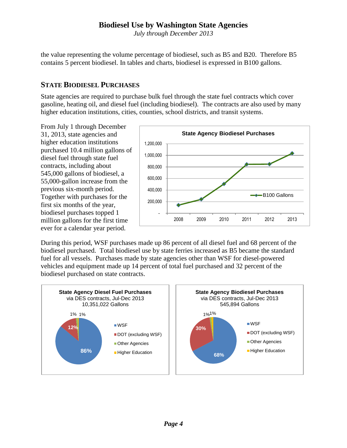*July through December 2013*

the value representing the volume percentage of biodiesel, such as B5 and B20. Therefore B5 contains 5 percent biodiesel. In tables and charts, biodiesel is expressed in B100 gallons.

## **STATE BIODIESEL PURCHASES**

State agencies are required to purchase bulk fuel through the state fuel contracts which cover gasoline, heating oil, and diesel fuel (including biodiesel). The contracts are also used by many higher education institutions, cities, counties, school districts, and transit systems.

From July 1 through December 31, 2013, state agencies and higher education institutions purchased 10.4 million gallons of diesel fuel through state fuel contracts, including about 545,000 gallons of biodiesel, a 55,000-gallon increase from the previous six-month period. Together with purchases for the first six months of the year, biodiesel purchases topped 1 million gallons for the first time ever for a calendar year period.



During this period, WSF purchases made up 86 percent of all diesel fuel and 68 percent of the biodiesel purchased. Total biodiesel use by state ferries increased as B5 became the standard fuel for all vessels. Purchases made by state agencies other than WSF for diesel-powered vehicles and equipment made up 14 percent of total fuel purchased and 32 percent of the biodiesel purchased on state contracts.

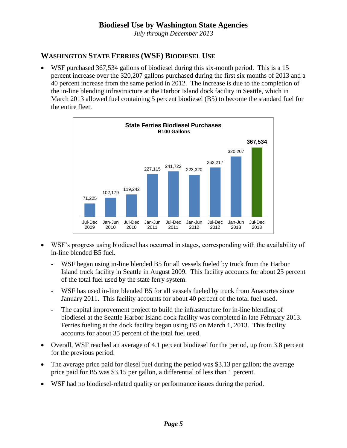*July through December 2013*

## **WASHINGTON STATE FERRIES (WSF) BIODIESEL USE**

 WSF purchased 367,534 gallons of biodiesel during this six-month period. This is a 15 percent increase over the 320,207 gallons purchased during the first six months of 2013 and a 40 percent increase from the same period in 2012. The increase is due to the completion of the in-line blending infrastructure at the Harbor Island dock facility in Seattle, which in March 2013 allowed fuel containing 5 percent biodiesel (B5) to become the standard fuel for the entire fleet.



- WSF's progress using biodiesel has occurred in stages, corresponding with the availability of in-line blended B5 fuel.
	- WSF began using in-line blended B5 for all vessels fueled by truck from the Harbor Island truck facility in Seattle in August 2009. This facility accounts for about 25 percent of the total fuel used by the state ferry system.
	- WSF has used in-line blended B5 for all vessels fueled by truck from Anacortes since January 2011. This facility accounts for about 40 percent of the total fuel used.
	- The capital improvement project to build the infrastructure for in-line blending of biodiesel at the Seattle Harbor Island dock facility was completed in late February 2013. Ferries fueling at the dock facility began using B5 on March 1, 2013. This facility accounts for about 35 percent of the total fuel used.
- Overall, WSF reached an average of 4.1 percent biodiesel for the period, up from 3.8 percent for the previous period.
- The average price paid for diesel fuel during the period was \$3.13 per gallon; the average price paid for B5 was \$3.15 per gallon, a differential of less than 1 percent.
- WSF had no biodiesel-related quality or performance issues during the period.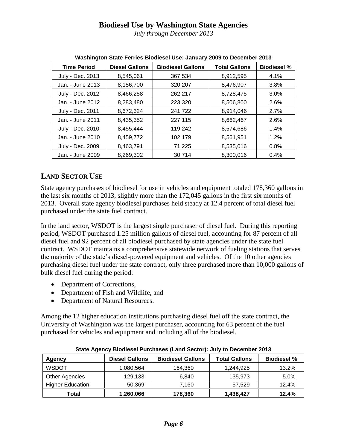*July through December 2013*

| <b>Time Period</b> | <b>Diesel Gallons</b> | <b>Biodiesel Gallons</b> | <b>Total Gallons</b> | <b>Biodiesel %</b> |  |  |
|--------------------|-----------------------|--------------------------|----------------------|--------------------|--|--|
| July - Dec. 2013   | 8,545,061             | 367,534                  | 8,912,595            | 4.1%               |  |  |
| Jan. - June 2013   | 8,156,700             | 320,207                  | 8,476,907            | 3.8%               |  |  |
| July - Dec. 2012   | 8,466,258             | 262,217                  | 8,728,475            | 3.0%               |  |  |
| Jan. - June 2012   | 8,283,480             | 223,320                  | 8,506,800            | 2.6%               |  |  |
| July - Dec. 2011   | 8,672,324             | 241,722                  | 8,914,046            | 2.7%               |  |  |
| Jan. - June 2011   | 8,435,352             | 227,115                  | 8,662,467            | 2.6%               |  |  |
| July - Dec. 2010   | 8,455,444             | 119,242                  | 8,574,686            | 1.4%               |  |  |
| Jan. - June 2010   | 8,459,772             | 102,179                  | 8,561,951            | 1.2%               |  |  |
| July - Dec. 2009   | 8,463,791             | 71,225                   | 8,535,016            | 0.8%               |  |  |
| Jan. - June 2009   | 8,269,302             | 30,714                   | 8,300,016            | 0.4%               |  |  |

**Washington State Ferries Biodiesel Use: January 2009 to December 2013**

## **LAND SECTOR USE**

State agency purchases of biodiesel for use in vehicles and equipment totaled 178,360 gallons in the last six months of 2013, slightly more than the 172,045 gallons in the first six months of 2013. Overall state agency biodiesel purchases held steady at 12.4 percent of total diesel fuel purchased under the state fuel contract.

In the land sector, WSDOT is the largest single purchaser of diesel fuel. During this reporting period, WSDOT purchased 1.25 million gallons of diesel fuel, accounting for 87 percent of all diesel fuel and 92 percent of all biodiesel purchased by state agencies under the state fuel contract. WSDOT maintains a comprehensive statewide network of fueling stations that serves the majority of the state's diesel-powered equipment and vehicles. Of the 10 other agencies purchasing diesel fuel under the state contract, only three purchased more than 10,000 gallons of bulk diesel fuel during the period:

- Department of Corrections,
- Department of Fish and Wildlife, and
- Department of Natural Resources.

Among the 12 higher education institutions purchasing diesel fuel off the state contract, the University of Washington was the largest purchaser, accounting for 63 percent of the fuel purchased for vehicles and equipment and including all of the biodiesel.

| Agency                  | <b>Diesel Gallons</b> | <b>Biodiesel Gallons</b> | <b>Total Gallons</b> | <b>Biodiesel %</b> |  |  |
|-------------------------|-----------------------|--------------------------|----------------------|--------------------|--|--|
| <b>WSDOT</b>            | 1,080,564             | 164,360                  | 1,244,925            | 13.2%              |  |  |
| <b>Other Agencies</b>   | 129,133               | 6,840                    | 135,973              | 5.0%               |  |  |
| <b>Higher Education</b> | 50.369                | 7.160                    | 57.529               | 12.4%              |  |  |
| Total                   | 1,260,066             | 178,360                  | 1,438,427            | 12.4%              |  |  |

**State Agency Biodiesel Purchases (Land Sector): July to December 2013**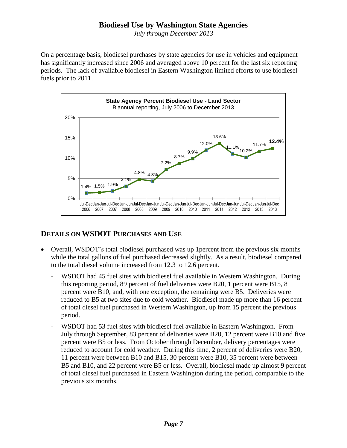*July through December 2013*

On a percentage basis, biodiesel purchases by state agencies for use in vehicles and equipment has significantly increased since 2006 and averaged above 10 percent for the last six reporting periods. The lack of available biodiesel in Eastern Washington limited efforts to use biodiesel fuels prior to 2011.



## **DETAILS ON WSDOT PURCHASES AND USE**

- Overall, WSDOT's total biodiesel purchased was up 1percent from the previous six months while the total gallons of fuel purchased decreased slightly. As a result, biodiesel compared to the total diesel volume increased from 12.3 to 12.6 percent.
	- WSDOT had 45 fuel sites with biodiesel fuel available in Western Washington. During this reporting period, 89 percent of fuel deliveries were B20, 1 percent were B15, 8 percent were B10, and, with one exception, the remaining were B5. Deliveries were reduced to B5 at two sites due to cold weather. Biodiesel made up more than 16 percent of total diesel fuel purchased in Western Washington, up from 15 percent the previous period.
	- WSDOT had 53 fuel sites with biodiesel fuel available in Eastern Washington. From July through September, 83 percent of deliveries were B20, 12 percent were B10 and five percent were B5 or less. From October through December, delivery percentages were reduced to account for cold weather. During this time, 2 percent of deliveries were B20, 11 percent were between B10 and B15, 30 percent were B10, 35 percent were between B5 and B10, and 22 percent were B5 or less. Overall, biodiesel made up almost 9 percent of total diesel fuel purchased in Eastern Washington during the period, comparable to the previous six months.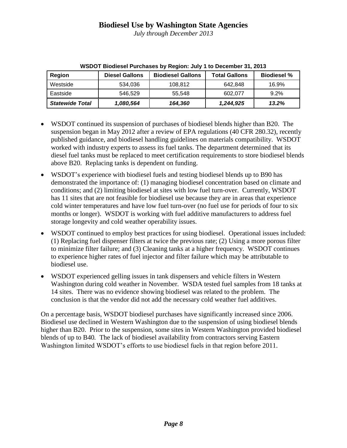*July through December 2013*

| Region                 | <b>Diesel Gallons</b> | <b>Biodiesel Gallons</b> | <b>Total Gallons</b> | <b>Biodiesel %</b> |
|------------------------|-----------------------|--------------------------|----------------------|--------------------|
| Westside               | 534.036               | 108.812                  | 642.848              | 16.9%              |
| Eastside               | 546.529               | 55.548                   | 602.077              | 9.2%               |
| <b>Statewide Total</b> | 1,080,564             | 164.360                  | 1,244,925            | 13.2%              |

**WSDOT Biodiesel Purchases by Region: July 1 to December 31, 2013**

- WSDOT continued its suspension of purchases of biodiesel blends higher than B20. The suspension began in May 2012 after a review of EPA regulations (40 CFR 280.32), recently published guidance, and biodiesel handling guidelines on materials compatibility. WSDOT worked with industry experts to assess its fuel tanks. The department determined that its diesel fuel tanks must be replaced to meet certification requirements to store biodiesel blends above B20. Replacing tanks is dependent on funding.
- WSDOT's experience with biodiesel fuels and testing biodiesel blends up to B90 has demonstrated the importance of: (1) managing biodiesel concentration based on climate and conditions; and (2) limiting biodiesel at sites with low fuel turn-over. Currently, WSDOT has 11 sites that are not feasible for biodiesel use because they are in areas that experience cold winter temperatures and have low fuel turn-over (no fuel use for periods of four to six months or longer). WSDOT is working with fuel additive manufacturers to address fuel storage longevity and cold weather operability issues.
- WSDOT continued to employ best practices for using biodiesel. Operational issues included: (1) Replacing fuel dispenser filters at twice the previous rate; (2) Using a more porous filter to minimize filter failure; and (3) Cleaning tanks at a higher frequency. WSDOT continues to experience higher rates of fuel injector and filter failure which may be attributable to biodiesel use.
- WSDOT experienced gelling issues in tank dispensers and vehicle filters in Western Washington during cold weather in November. WSDA tested fuel samples from 18 tanks at 14 sites. There was no evidence showing biodiesel was related to the problem. The conclusion is that the vendor did not add the necessary cold weather fuel additives.

On a percentage basis, WSDOT biodiesel purchases have significantly increased since 2006. Biodiesel use declined in Western Washington due to the suspension of using biodiesel blends higher than B20. Prior to the suspension, some sites in Western Washington provided biodiesel blends of up to B40*.* The lack of biodiesel availability from contractors serving Eastern Washington limited WSDOT's efforts to use biodiesel fuels in that region before 2011.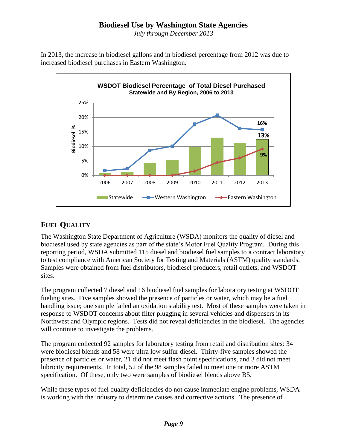*July through December 2013*

In 2013, the increase in biodiesel gallons and in biodiesel percentage from 2012 was due to increased biodiesel purchases in Eastern Washington.



## **FUEL QUALITY**

The Washington State Department of Agriculture (WSDA) monitors the quality of diesel and biodiesel used by state agencies as part of the state's Motor Fuel Quality Program. During this reporting period, WSDA submitted 115 diesel and biodiesel fuel samples to a contract laboratory to test compliance with American Society for Testing and Materials (ASTM) quality standards. Samples were obtained from fuel distributors, biodiesel producers, retail outlets, and WSDOT sites.

The program collected 7 diesel and 16 biodiesel fuel samples for laboratory testing at WSDOT fueling sites. Five samples showed the presence of particles or water, which may be a fuel handling issue; one sample failed an oxidation stability test. Most of these samples were taken in response to WSDOT concerns about filter plugging in several vehicles and dispensers in its Northwest and Olympic regions. Tests did not reveal deficiencies in the biodiesel. The agencies will continue to investigate the problems.

The program collected 92 samples for laboratory testing from retail and distribution sites: 34 were biodiesel blends and 58 were ultra low sulfur diesel. Thirty-five samples showed the presence of particles or water, 21 did not meet flash point specifications, and 3 did not meet lubricity requirements. In total, 52 of the 98 samples failed to meet one or more ASTM specification. Of these, only two were samples of biodiesel blends above B5.

While these types of fuel quality deficiencies do not cause immediate engine problems, WSDA is working with the industry to determine causes and corrective actions. The presence of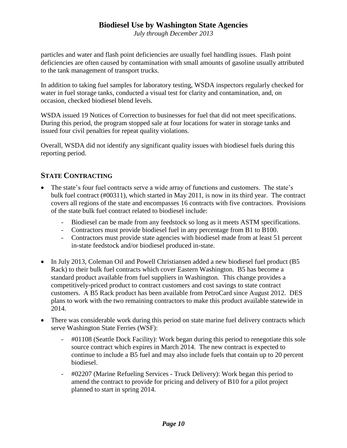*July through December 2013*

particles and water and flash point deficiencies are usually fuel handling issues. Flash point deficiencies are often caused by contamination with small amounts of gasoline usually attributed to the tank management of transport trucks.

In addition to taking fuel samples for laboratory testing, WSDA inspectors regularly checked for water in fuel storage tanks, conducted a visual test for clarity and contamination, and, on occasion, checked biodiesel blend levels.

WSDA issued 19 Notices of Correction to businesses for fuel that did not meet specifications. During this period, the program stopped sale at four locations for water in storage tanks and issued four civil penalties for repeat quality violations.

Overall, WSDA did not identify any significant quality issues with biodiesel fuels during this reporting period.

## **STATE CONTRACTING**

- The state's four fuel contracts serve a wide array of functions and customers. The state's bulk fuel contract (#00311), which started in May 2011, is now in its third year. The contract covers all regions of the state and encompasses 16 contracts with five contractors. Provisions of the state bulk fuel contract related to biodiesel include:
	- Biodiesel can be made from any feedstock so long as it meets ASTM specifications.
	- Contractors must provide biodiesel fuel in any percentage from B1 to B100.
	- Contractors must provide state agencies with biodiesel made from at least 51 percent in-state feedstock and/or biodiesel produced in-state.
- In July 2013, Coleman Oil and Powell Christiansen added a new biodiesel fuel product (B5 Rack) to their bulk fuel contracts which cover Eastern Washington. B5 has become a standard product available from fuel suppliers in Washington. This change provides a competitively-priced product to contract customers and cost savings to state contract customers. A B5 Rack product has been available from PetroCard since August 2012. DES plans to work with the two remaining contractors to make this product available statewide in 2014.
- There was considerable work during this period on state marine fuel delivery contracts which serve Washington State Ferries (WSF):
	- #01108 (Seattle Dock Facility): Work began during this period to renegotiate this sole source contract which expires in March 2014. The new contract is expected to continue to include a B5 fuel and may also include fuels that contain up to 20 percent biodiesel.
	- #02207 (Marine Refueling Services Truck Delivery): Work began this period to amend the contract to provide for pricing and delivery of B10 for a pilot project planned to start in spring 2014.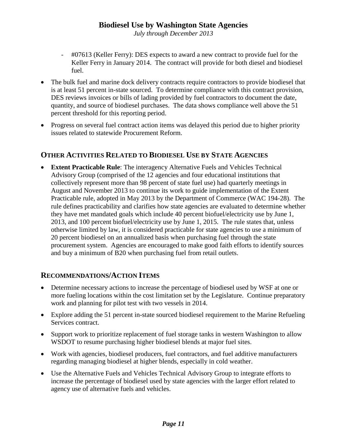*July through December 2013*

- #07613 (Keller Ferry): DES expects to award a new contract to provide fuel for the Keller Ferry in January 2014. The contract will provide for both diesel and biodiesel fuel.
- The bulk fuel and marine dock delivery contracts require contractors to provide biodiesel that is at least 51 percent in-state sourced. To determine compliance with this contract provision, DES reviews invoices or bills of lading provided by fuel contractors to document the date, quantity, and source of biodiesel purchases. The data shows compliance well above the 51 percent threshold for this reporting period.
- Progress on several fuel contract action items was delayed this period due to higher priority issues related to statewide Procurement Reform.

## **OTHER ACTIVITIES RELATED TO BIODIESEL USE BY STATE AGENCIES**

 **Extent Practicable Rule**: The interagency Alternative Fuels and Vehicles Technical Advisory Group (comprised of the 12 agencies and four educational institutions that collectively represent more than 98 percent of state fuel use) had quarterly meetings in August and November 2013 to continue its work to guide implementation of the Extent Practicable rule, adopted in May 2013 by the Department of Commerce (WAC 194-28). The rule defines practicability and clarifies how state agencies are evaluated to determine whether they have met mandated goals which include 40 percent biofuel/electricity use by June 1, 2013, and 100 percent biofuel/electricity use by June 1, 2015. The rule states that, unless otherwise limited by law, it is considered practicable for state agencies to use a minimum of 20 percent biodiesel on an annualized basis when purchasing fuel through the state procurement system. Agencies are encouraged to make good faith efforts to identify sources and buy a minimum of B20 when purchasing fuel from retail outlets.

## **RECOMMENDATIONS/ACTION ITEMS**

- Determine necessary actions to increase the percentage of biodiesel used by WSF at one or more fueling locations within the cost limitation set by the Legislature. Continue preparatory work and planning for pilot test with two vessels in 2014.
- Explore adding the 51 percent in-state sourced biodiesel requirement to the Marine Refueling Services contract.
- Support work to prioritize replacement of fuel storage tanks in western Washington to allow WSDOT to resume purchasing higher biodiesel blends at major fuel sites.
- Work with agencies, biodiesel producers, fuel contractors, and fuel additive manufacturers regarding managing biodiesel at higher blends, especially in cold weather.
- Use the Alternative Fuels and Vehicles Technical Advisory Group to integrate efforts to increase the percentage of biodiesel used by state agencies with the larger effort related to agency use of alternative fuels and vehicles.